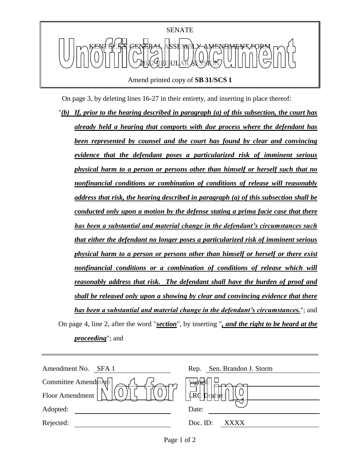

Amend printed copy of **SB 31/SCS 1**

On page 3, by deleting lines 16-27 in their entirety, and inserting in place thereof:

"*(b) If, prior to the hearing described in paragraph (a) of this subsection, the court has already held a hearing that comports with due process where the defendant has been represented by counsel and the court has found by clear and convincing evidence that the defendant poses a particularized risk of imminent serious physical harm to a person or persons other than himself or herself such that no nonfinancial conditions or combination of conditions of release will reasonably address that risk, the hearing described in paragraph (a) of this subsection shall be conducted only upon a motion by the defense stating a prima facie case that there has been a substantial and material change in the defendant's circumstances such that either the defendant no longer poses a particularized risk of imminent serious physical harm to a person or persons other than himself or herself or there exist nonfinancial conditions or a combination of conditions of release which will reasonably address that risk. The defendant shall have the burden of proof and shall be released only upon a showing by clear and convincing evidence that there has been a substantial and material change in the defendant's circumstances.*"; and On page 4, line 2, after the word "*section*", by inserting "*, and the right to be heard at the proceeding*"; and

| Amendment No.<br>SFA 1 | Sen. Brandon J. Storm<br>Rep. |
|------------------------|-------------------------------|
| Committee Amend $m$    | <b>Sigr</b>                   |
| Floor Amendment        | $\mathbb{R}^d$<br>Dral        |
| Adopted:               | Date:                         |
| Rejected:              | Doc. ID:<br>XXXX              |